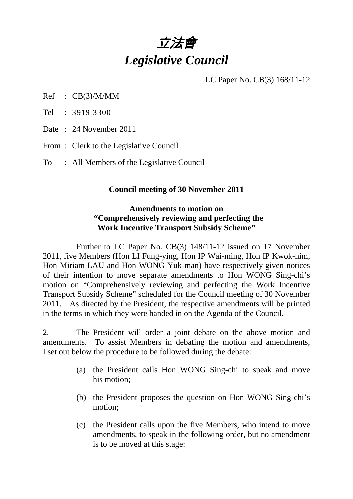

LC Paper No. CB(3) 168/11-12

Ref : CB(3)/M/MM

Tel : 3919 3300

Date : 24 November 2011

From : Clerk to the Legislative Council

To : All Members of the Legislative Council

### **Council meeting of 30 November 2011**

### **Amendments to motion on "Comprehensively reviewing and perfecting the Work Incentive Transport Subsidy Scheme"**

 Further to LC Paper No. CB(3) 148/11-12 issued on 17 November 2011, five Members (Hon LI Fung-ying, Hon IP Wai-ming, Hon IP Kwok-him, Hon Miriam LAU and Hon WONG Yuk-man) have respectively given notices of their intention to move separate amendments to Hon WONG Sing-chi's motion on "Comprehensively reviewing and perfecting the Work Incentive Transport Subsidy Scheme" scheduled for the Council meeting of 30 November 2011. As directed by the President, the respective amendments will be printed in the terms in which they were handed in on the Agenda of the Council.

2. The President will order a joint debate on the above motion and amendments. To assist Members in debating the motion and amendments, I set out below the procedure to be followed during the debate:

- (a) the President calls Hon WONG Sing-chi to speak and move his motion;
- (b) the President proposes the question on Hon WONG Sing-chi's motion;
- (c) the President calls upon the five Members, who intend to move amendments, to speak in the following order, but no amendment is to be moved at this stage: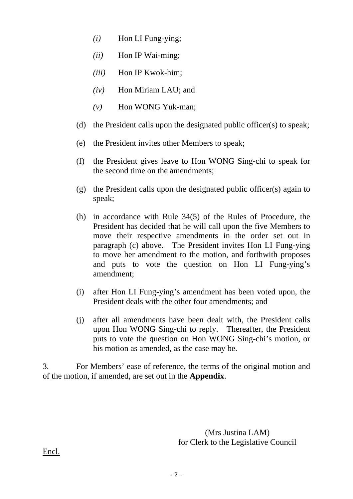- *(i)* Hon LI Fung-ying;
- *(ii)* Hon IP Wai-ming;
- *(iii)* Hon IP Kwok-him;
- *(iv)* Hon Miriam LAU; and
- *(v)* Hon WONG Yuk-man;
- (d) the President calls upon the designated public officer(s) to speak;
- (e) the President invites other Members to speak;
- (f) the President gives leave to Hon WONG Sing-chi to speak for the second time on the amendments;
- (g) the President calls upon the designated public officer(s) again to speak;
- (h) in accordance with Rule 34(5) of the Rules of Procedure, the President has decided that he will call upon the five Members to move their respective amendments in the order set out in paragraph (c) above. The President invites Hon LI Fung-ying to move her amendment to the motion, and forthwith proposes and puts to vote the question on Hon LI Fung-ying's amendment;
- (i) after Hon LI Fung-ying's amendment has been voted upon, the President deals with the other four amendments; and
- (j) after all amendments have been dealt with, the President calls upon Hon WONG Sing-chi to reply. Thereafter, the President puts to vote the question on Hon WONG Sing-chi's motion, or his motion as amended, as the case may be.

3. For Members' ease of reference, the terms of the original motion and of the motion, if amended, are set out in the **Appendix**.

> (Mrs Justina LAM) for Clerk to the Legislative Council

Encl.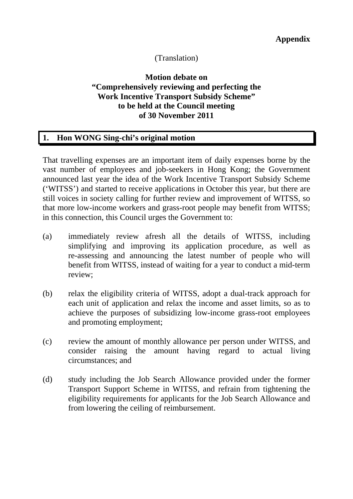## (Translation)

## **Motion debate on "Comprehensively reviewing and perfecting the Work Incentive Transport Subsidy Scheme" to be held at the Council meeting of 30 November 2011**

### **1. Hon WONG Sing-chi's original motion**

That travelling expenses are an important item of daily expenses borne by the vast number of employees and job-seekers in Hong Kong; the Government announced last year the idea of the Work Incentive Transport Subsidy Scheme ('WITSS') and started to receive applications in October this year, but there are still voices in society calling for further review and improvement of WITSS, so that more low-income workers and grass-root people may benefit from WITSS; in this connection, this Council urges the Government to:

- (a) immediately review afresh all the details of WITSS, including simplifying and improving its application procedure, as well as re-assessing and announcing the latest number of people who will benefit from WITSS, instead of waiting for a year to conduct a mid-term review;
- (b) relax the eligibility criteria of WITSS, adopt a dual-track approach for each unit of application and relax the income and asset limits, so as to achieve the purposes of subsidizing low-income grass-root employees and promoting employment;
- (c) review the amount of monthly allowance per person under WITSS, and consider raising the amount having regard to actual living circumstances; and
- (d) study including the Job Search Allowance provided under the former Transport Support Scheme in WITSS, and refrain from tightening the eligibility requirements for applicants for the Job Search Allowance and from lowering the ceiling of reimbursement.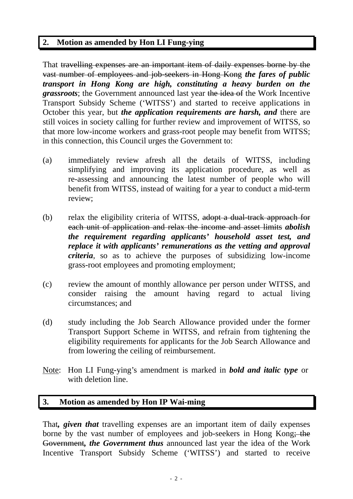# **2. Motion as amended by Hon LI Fung-ying**

That travelling expenses are an important item of daily expenses borne by the vast number of employees and job-seekers in Hong Kong *the fares of public transport in Hong Kong are high, constituting a heavy burden on the grassroots*; the Government announced last year the idea of the Work Incentive Transport Subsidy Scheme ('WITSS') and started to receive applications in October this year, but *the application requirements are harsh, and* there are still voices in society calling for further review and improvement of WITSS, so that more low-income workers and grass-root people may benefit from WITSS; in this connection, this Council urges the Government to:

- (a) immediately review afresh all the details of WITSS, including simplifying and improving its application procedure, as well as re-assessing and announcing the latest number of people who will benefit from WITSS, instead of waiting for a year to conduct a mid-term review;
- (b) relax the eligibility criteria of WITSS, adopt a dual-track approach for each unit of application and relax the income and asset limits *abolish the requirement regarding applicants' household asset test, and replace it with applicants' remunerations as the vetting and approval criteria*, so as to achieve the purposes of subsidizing low-income grass-root employees and promoting employment;
- (c) review the amount of monthly allowance per person under WITSS, and consider raising the amount having regard to actual living circumstances; and
- (d) study including the Job Search Allowance provided under the former Transport Support Scheme in WITSS, and refrain from tightening the eligibility requirements for applicants for the Job Search Allowance and from lowering the ceiling of reimbursement.
- Note: Hon LI Fung-ying's amendment is marked in *bold and italic type* or with deletion line.

## **3. Motion as amended by Hon IP Wai-ming**

That*, given that* travelling expenses are an important item of daily expenses borne by the vast number of employees and job-seekers in Hong Kong; the Government*, the Government thus* announced last year the idea of the Work Incentive Transport Subsidy Scheme ('WITSS') and started to receive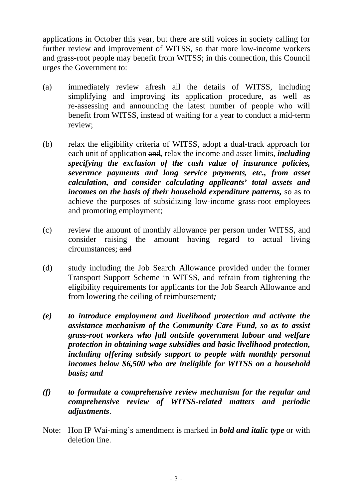applications in October this year, but there are still voices in society calling for further review and improvement of WITSS, so that more low-income workers and grass-root people may benefit from WITSS; in this connection, this Council urges the Government to:

- (a) immediately review afresh all the details of WITSS, including simplifying and improving its application procedure, as well as re-assessing and announcing the latest number of people who will benefit from WITSS, instead of waiting for a year to conduct a mid-term review;
- (b) relax the eligibility criteria of WITSS, adopt a dual-track approach for each unit of application and*,* relax the income and asset limits, *including specifying the exclusion of the cash value of insurance policies, severance payments and long service payments, etc., from asset calculation, and consider calculating applicants' total assets and incomes on the basis of their household expenditure patterns,* so as to achieve the purposes of subsidizing low-income grass-root employees and promoting employment;
- (c) review the amount of monthly allowance per person under WITSS, and consider raising the amount having regard to actual living circumstances; and
- (d) study including the Job Search Allowance provided under the former Transport Support Scheme in WITSS, and refrain from tightening the eligibility requirements for applicants for the Job Search Allowance and from lowering the ceiling of reimbursement*;*
- *(e) to introduce employment and livelihood protection and activate the assistance mechanism of the Community Care Fund, so as to assist grass-root workers who fall outside government labour and welfare protection in obtaining wage subsidies and basic livelihood protection, including offering subsidy support to people with monthly personal incomes below \$6,500 who are ineligible for WITSS on a household basis; and*
- *(f) to formulate a comprehensive review mechanism for the regular and comprehensive review of WITSS-related matters and periodic adjustments*.
- Note: Hon IP Wai-ming's amendment is marked in *bold and italic type* or with deletion line.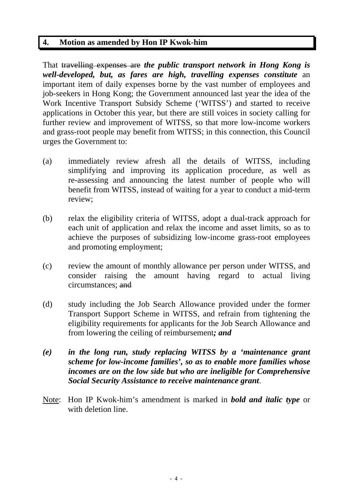## **4. Motion as amended by Hon IP Kwok-him**

That travelling expenses are *the public transport network in Hong Kong is well-developed, but, as fares are high, travelling expenses constitute* an important item of daily expenses borne by the vast number of employees and job-seekers in Hong Kong; the Government announced last year the idea of the Work Incentive Transport Subsidy Scheme ('WITSS') and started to receive applications in October this year, but there are still voices in society calling for further review and improvement of WITSS, so that more low-income workers and grass-root people may benefit from WITSS; in this connection, this Council urges the Government to:

- (a) immediately review afresh all the details of WITSS, including simplifying and improving its application procedure, as well as re-assessing and announcing the latest number of people who will benefit from WITSS, instead of waiting for a year to conduct a mid-term review;
- (b) relax the eligibility criteria of WITSS, adopt a dual-track approach for each unit of application and relax the income and asset limits, so as to achieve the purposes of subsidizing low-income grass-root employees and promoting employment;
- (c) review the amount of monthly allowance per person under WITSS, and consider raising the amount having regard to actual living circumstances; and
- (d) study including the Job Search Allowance provided under the former Transport Support Scheme in WITSS, and refrain from tightening the eligibility requirements for applicants for the Job Search Allowance and from lowering the ceiling of reimbursement*; and*
- *(e) in the long run, study replacing WITSS by a 'maintenance grant scheme for low-income families', so as to enable more families whose incomes are on the low side but who are ineligible for Comprehensive Social Security Assistance to receive maintenance grant*.
- Note: Hon IP Kwok-him's amendment is marked in *bold and italic type* or with deletion line.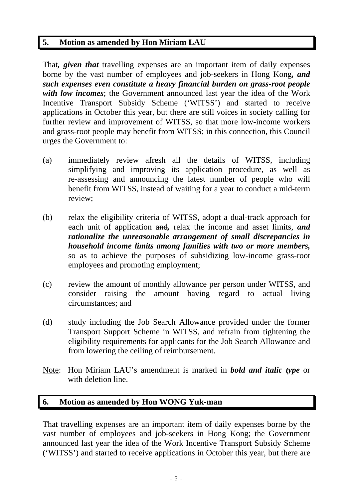# **5. Motion as amended by Hon Miriam LAU**

That*, given that* travelling expenses are an important item of daily expenses borne by the vast number of employees and job-seekers in Hong Kong*, and such expenses even constitute a heavy financial burden on grass-root people with low incomes*; the Government announced last year the idea of the Work Incentive Transport Subsidy Scheme ('WITSS') and started to receive applications in October this year, but there are still voices in society calling for further review and improvement of WITSS, so that more low-income workers and grass-root people may benefit from WITSS; in this connection, this Council urges the Government to:

- (a) immediately review afresh all the details of WITSS, including simplifying and improving its application procedure, as well as re-assessing and announcing the latest number of people who will benefit from WITSS, instead of waiting for a year to conduct a mid-term review;
- (b) relax the eligibility criteria of WITSS, adopt a dual-track approach for each unit of application and*,* relax the income and asset limits, *and rationalize the unreasonable arrangement of small discrepancies in household income limits among families with two or more members,* so as to achieve the purposes of subsidizing low-income grass-root employees and promoting employment;
- (c) review the amount of monthly allowance per person under WITSS, and consider raising the amount having regard to actual living circumstances; and
- (d) study including the Job Search Allowance provided under the former Transport Support Scheme in WITSS, and refrain from tightening the eligibility requirements for applicants for the Job Search Allowance and from lowering the ceiling of reimbursement.
- Note: Hon Miriam LAU's amendment is marked in *bold and italic type* or with deletion line.

# **6. Motion as amended by Hon WONG Yuk-man**

That travelling expenses are an important item of daily expenses borne by the vast number of employees and job-seekers in Hong Kong; the Government announced last year the idea of the Work Incentive Transport Subsidy Scheme ('WITSS') and started to receive applications in October this year, but there are